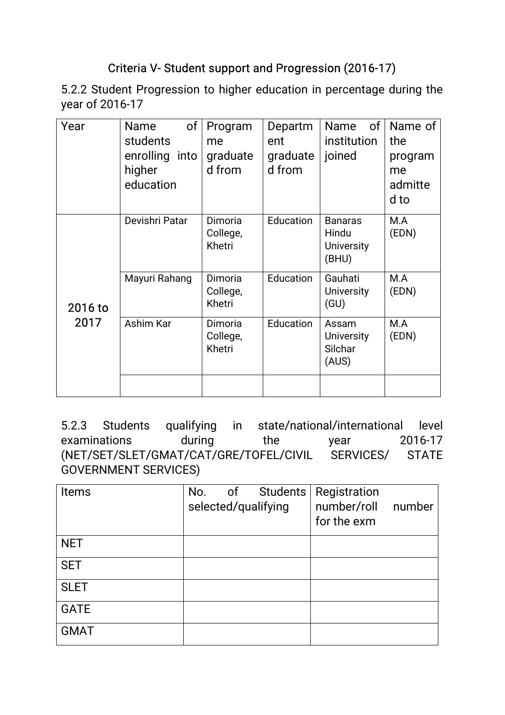## Criteria V-Student support and Progression (2016-17)

5.2.2 Student Progression to higher education in percentage during the year of 2016-17

| Devishri Patar<br>Dimoria<br>Education<br>M.A<br><b>Banaras</b><br>(EDN)<br>College,<br>Hindu<br>Khetri<br><b>University</b><br>(BHU)<br>Mayuri Rahang<br>Dimoria<br>Education<br>Gauhati<br>M.A<br>College,<br>(EDN)<br><b>University</b><br>Khetri<br>(GU)<br>2016 to<br>2017<br>Ashim Kar<br>M.A<br>Dimoria<br>Education<br>Assam<br>College,<br>(EDN)<br><b>University</b><br>Silchar<br>Khetri<br>(AUS) | Year | of<br>Name<br>students<br>enrolling into<br>higher<br>education | Program<br>me<br>graduate<br>d from | Departm<br>ent<br>graduate<br>d from | 0f<br>Name<br>institution<br>joined | Name of<br>the<br>program<br>me<br>admitte<br>d to |
|--------------------------------------------------------------------------------------------------------------------------------------------------------------------------------------------------------------------------------------------------------------------------------------------------------------------------------------------------------------------------------------------------------------|------|-----------------------------------------------------------------|-------------------------------------|--------------------------------------|-------------------------------------|----------------------------------------------------|
|                                                                                                                                                                                                                                                                                                                                                                                                              |      |                                                                 |                                     |                                      |                                     |                                                    |
|                                                                                                                                                                                                                                                                                                                                                                                                              |      |                                                                 |                                     |                                      |                                     |                                                    |
|                                                                                                                                                                                                                                                                                                                                                                                                              |      |                                                                 |                                     |                                      |                                     |                                                    |

5.2.3 Students qualifying in state/national/international level examinations during the year 2016-17 (NET/SET/SLET/GMAT/CAT/GRE/TOFEL/CIVIL SERVICES/ STATE GOVERNMENT SERVICES)

| <b>Items</b> | No. | of | selected/qualifying | Students   Registration<br>number/roll<br>for the exm | number |
|--------------|-----|----|---------------------|-------------------------------------------------------|--------|
| <b>NET</b>   |     |    |                     |                                                       |        |
| <b>SET</b>   |     |    |                     |                                                       |        |
| <b>SLET</b>  |     |    |                     |                                                       |        |
| <b>GATE</b>  |     |    |                     |                                                       |        |
| <b>GMAT</b>  |     |    |                     |                                                       |        |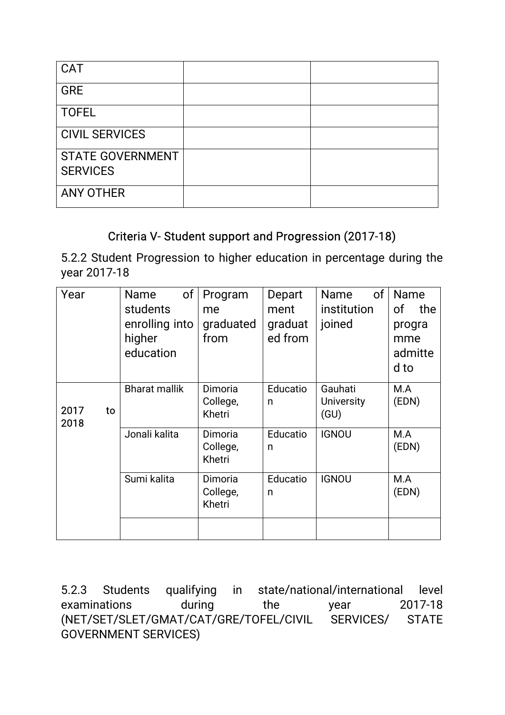| <b>CAT</b>              |  |
|-------------------------|--|
| <b>GRE</b>              |  |
| <b>TOFEL</b>            |  |
| <b>CIVIL SERVICES</b>   |  |
| <b>STATE GOVERNMENT</b> |  |
| <b>SERVICES</b>         |  |
| <b>ANY OTHER</b>        |  |

### Criteria V- Student support and Progression (2017-18)

5.2.2 Student Progression to higher education in percentage during the year 2017-18

| Year               | <b>Name</b><br>students | of<br>Program<br>me           | Depart<br>ment | of<br><b>Name</b><br>institution | Name<br>of<br>the |
|--------------------|-------------------------|-------------------------------|----------------|----------------------------------|-------------------|
|                    | enrolling into          | graduated                     | graduat        | joined                           | progra            |
|                    | higher<br>education     | from                          | ed from        |                                  | mme<br>admitte    |
|                    |                         |                               |                | Gauhati                          | d to<br>M.A       |
| 2017<br>to<br>2018 | <b>Bharat mallik</b>    | Dimoria<br>College,<br>Khetri | Educatio<br>n  | <b>University</b><br>(GU)        | (EDN)             |
|                    | Jonali kalita           | Dimoria<br>College,<br>Khetri | Educatio<br>n  | <b>IGNOU</b>                     | M.A<br>(EDN)      |
|                    | Sumi kalita             | Dimoria<br>College,<br>Khetri | Educatio<br>n  | <b>IGNOU</b>                     | M.A<br>(EDN)      |
|                    |                         |                               |                |                                  |                   |

5.2.3 Students qualifying in state/national/international level examinations during the year 2017-18 (NET/SET/SLET/GMAT/CAT/GRE/TOFEL/CIVIL SERVICES/ STATE GOVERNMENT SERVICES)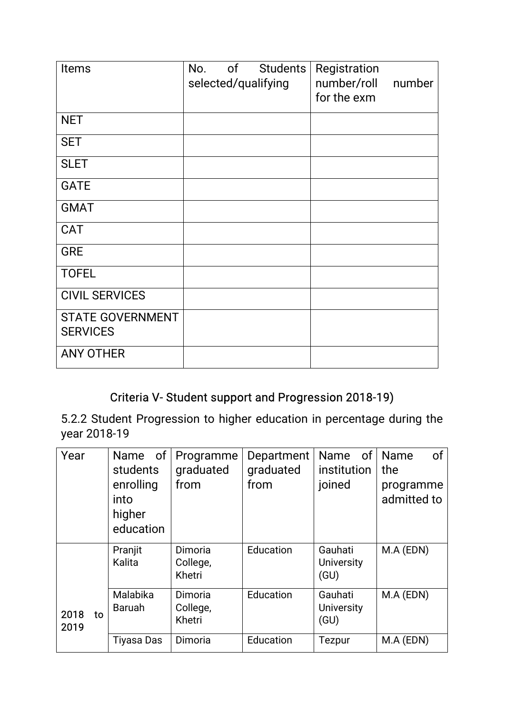| Items                               | of<br>Students<br>No.<br>selected/qualifying | Registration<br>number/roll<br>for the exm | number |
|-------------------------------------|----------------------------------------------|--------------------------------------------|--------|
| <b>NET</b>                          |                                              |                                            |        |
| <b>SET</b>                          |                                              |                                            |        |
| <b>SLET</b>                         |                                              |                                            |        |
| <b>GATE</b>                         |                                              |                                            |        |
| <b>GMAT</b>                         |                                              |                                            |        |
| <b>CAT</b>                          |                                              |                                            |        |
| <b>GRE</b>                          |                                              |                                            |        |
| <b>TOFEL</b>                        |                                              |                                            |        |
| <b>CIVIL SERVICES</b>               |                                              |                                            |        |
| STATE GOVERNMENT<br><b>SERVICES</b> |                                              |                                            |        |
| <b>ANY OTHER</b>                    |                                              |                                            |        |

# Criteria V-Student support and Progression 2018-19)

5.2.2 Student Progression to higher education in percentage during the year 2018-19

| Year               | Name of<br>students<br>enrolling<br>into<br>higher<br>education | Programme<br>graduated<br>from | Department<br>graduated<br>from | 0f<br>Name<br>institution<br>joined  | of<br>Name<br>the<br>programme<br>admitted to |
|--------------------|-----------------------------------------------------------------|--------------------------------|---------------------------------|--------------------------------------|-----------------------------------------------|
|                    | Pranjit<br>Kalita                                               | Dimoria<br>College,<br>Khetri  | Education                       | Gauhati<br><b>University</b><br>(GU) | M.A (EDN)                                     |
| 2018<br>to<br>2019 | Malabika<br>Baruah                                              | Dimoria<br>College,<br>Khetri  | Education                       | Gauhati<br><b>University</b><br>(GU) | M.A (EDN)                                     |
|                    | <b>Tiyasa Das</b>                                               | Dimoria                        | Education                       | Tezpur                               | M.A (EDN)                                     |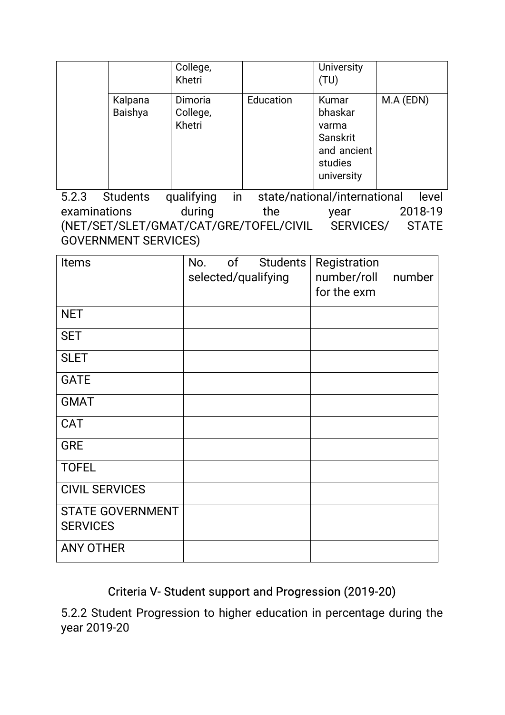|                    | College,<br>Khetri            |           | <b>University</b><br>(TU)                                                     |           |
|--------------------|-------------------------------|-----------|-------------------------------------------------------------------------------|-----------|
| Kalpana<br>Baishya | Dimoria<br>College,<br>Khetri | Education | Kumar<br>bhaskar<br>varma<br>Sanskrit<br>and ancient<br>studies<br>university | M.A (EDN) |

5.2.3 Students qualifying in state/national/international level examinations during the year 2018-19 (NET/SET/SLET/GMAT/CAT/GRE/TOFEL/CIVIL SERVICES/ STATE GOVERNMENT SERVICES)

| Items                                      | of<br>No.<br>selected/qualifying | Students | Registration<br>number/roll<br>for the exm | number |
|--------------------------------------------|----------------------------------|----------|--------------------------------------------|--------|
| <b>NET</b>                                 |                                  |          |                                            |        |
| <b>SET</b>                                 |                                  |          |                                            |        |
| <b>SLET</b>                                |                                  |          |                                            |        |
| <b>GATE</b>                                |                                  |          |                                            |        |
| <b>GMAT</b>                                |                                  |          |                                            |        |
| CAT                                        |                                  |          |                                            |        |
| GRE                                        |                                  |          |                                            |        |
| <b>TOFEL</b>                               |                                  |          |                                            |        |
| <b>CIVIL SERVICES</b>                      |                                  |          |                                            |        |
| <b>STATE GOVERNMENT</b><br><b>SERVICES</b> |                                  |          |                                            |        |
| <b>ANY OTHER</b>                           |                                  |          |                                            |        |

## Criteria V- Student support and Progression (2019-20)

5.2.2 Student Progression to higher education in percentage during the year 2019-20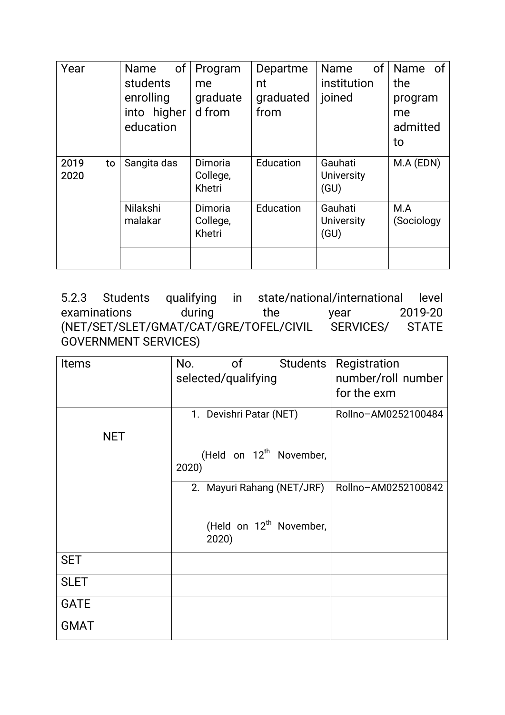| Year         |    | of<br>Name<br>students<br>enrolling<br>into higher<br>education | Program<br>me<br>graduate<br>d from | Departme<br>nt<br>graduated<br>from | <b>Name</b><br>institution<br>joined | of | Name of<br>the<br>program<br>me<br>admitted<br>to |  |
|--------------|----|-----------------------------------------------------------------|-------------------------------------|-------------------------------------|--------------------------------------|----|---------------------------------------------------|--|
| 2019<br>2020 | to | Sangita das                                                     | Dimoria<br>College,<br>Khetri       | Education                           | Gauhati<br><b>University</b><br>(GU) |    | M.A (EDN)                                         |  |
|              |    | Nilakshi<br>malakar                                             | Dimoria<br>College,<br>Khetri       | Education                           | Gauhati<br><b>University</b><br>(GU) |    | M.A<br>(Sociology                                 |  |

5.2.3 Students qualifying in state/national/international level examinations during the year 2019-20 (NET/SET/SLET/GMAT/CAT/GRE/TOFEL/CIVIL SERVICES/ STATE GOVERNMENT SERVICES)

| <b>Items</b> | <b>Students</b><br>No.<br>0f<br>selected/qualifying | Registration<br>number/roll number<br>for the exm |
|--------------|-----------------------------------------------------|---------------------------------------------------|
| <b>NET</b>   | 1. Devishri Patar (NET)                             | Rollno-AM0252100484                               |
|              | (Held on 12 <sup>th</sup> November,<br>2020)        |                                                   |
|              | 2. Mayuri Rahang (NET/JRF)                          | Rollno-AM0252100842                               |
|              | (Held on 12 <sup>th</sup> November,<br>2020)        |                                                   |
| <b>SET</b>   |                                                     |                                                   |
| <b>SLET</b>  |                                                     |                                                   |
| <b>GATE</b>  |                                                     |                                                   |
| <b>GMAT</b>  |                                                     |                                                   |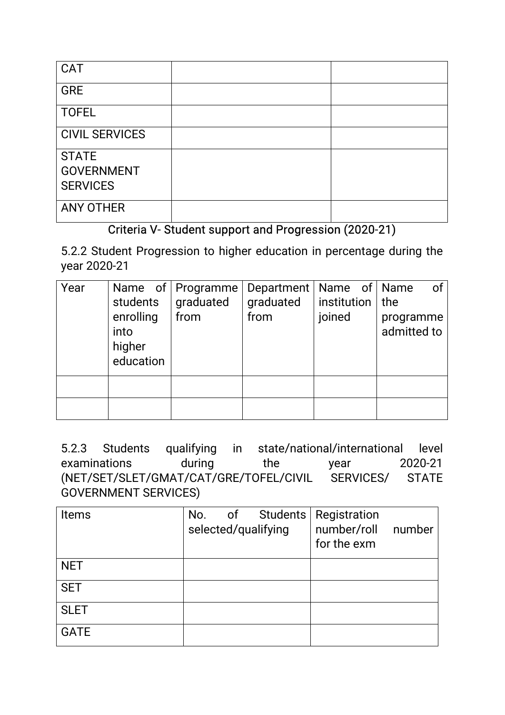| <b>CAT</b>                                           |  |
|------------------------------------------------------|--|
| <b>GRE</b>                                           |  |
| <b>TOFEL</b>                                         |  |
| <b>CIVIL SERVICES</b>                                |  |
| <b>STATE</b><br><b>GOVERNMENT</b><br><b>SERVICES</b> |  |
| <b>ANY OTHER</b>                                     |  |

### Criteria V- Student support and Progression (2020-21)

5.2.2 Student Progression to higher education in percentage during the year 2020-21

| Year | students<br>enrolling<br>into<br>higher<br>education | Name of   Programme  <br>graduated<br>from | Department   Name of   Name<br>graduated<br>from | institution $ $ the<br>joined | of<br>programme<br>admitted to |
|------|------------------------------------------------------|--------------------------------------------|--------------------------------------------------|-------------------------------|--------------------------------|
|      |                                                      |                                            |                                                  |                               |                                |

5.2.3 Students qualifying in state/national/international level examinations during the year 2020-21 (NET/SET/SLET/GMAT/CAT/GRE/TOFEL/CIVIL SERVICES/ STATE GOVERNMENT SERVICES)

| <b>Items</b> | No.<br>of<br>selected/qualifying | Students   Registration<br>number/roll<br>number<br>for the exm |
|--------------|----------------------------------|-----------------------------------------------------------------|
| <b>NET</b>   |                                  |                                                                 |
| <b>SET</b>   |                                  |                                                                 |
| <b>SLET</b>  |                                  |                                                                 |
| <b>GATE</b>  |                                  |                                                                 |